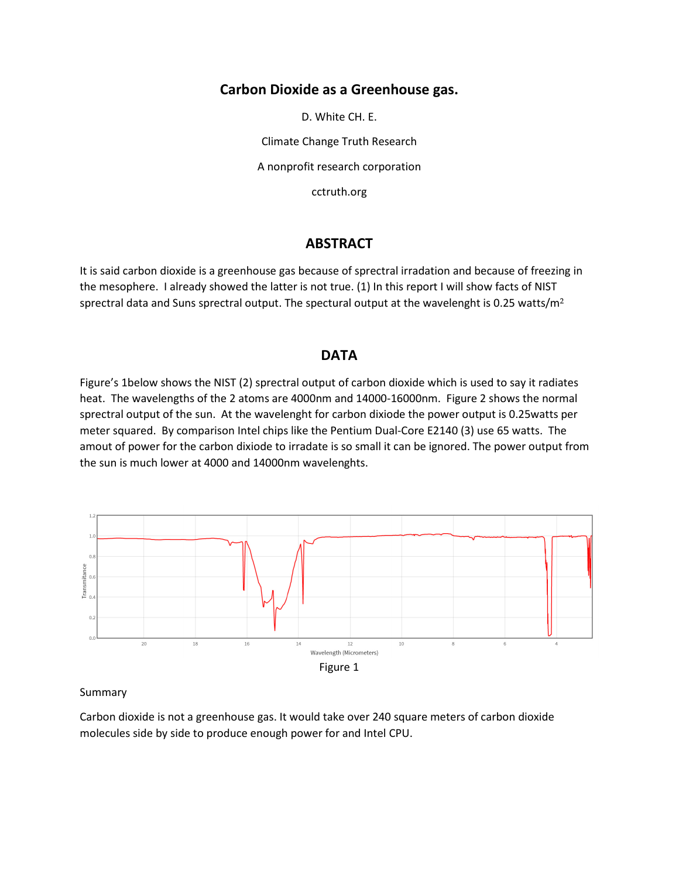# **Carbon Dioxide as a Greenhouse gas.**

D. White CH. E.

Climate Change Truth Research

A nonprofit research corporation

cctruth.org

# **ABSTRACT**

It is said carbon dioxide is a greenhouse gas because of sprectral irradation and because of freezing in the mesophere. I already showed the latter is not true. (1) In this report I will show facts of NIST sprectral data and Suns sprectral output. The spectural output at the wavelenght is 0.25 watts/ $m<sup>2</sup>$ 

## **DATA**

Figure's 1below shows the NIST (2) sprectral output of carbon dioxide which is used to say it radiates heat. The wavelengths of the 2 atoms are 4000nm and 14000-16000nm. Figure 2 shows the normal sprectral output of the sun. At the wavelenght for carbon dixiode the power output is 0.25watts per meter squared. By comparison Intel chips like the Pentium Dual-Core E2140 (3) use 65 watts. The amout of power for the carbon dixiode to irradate is so small it can be ignored. The power output from the sun is much lower at 4000 and 14000nm wavelenghts.



#### Summary

Carbon dioxide is not a greenhouse gas. It would take over 240 square meters of carbon dioxide molecules side by side to produce enough power for and Intel CPU.